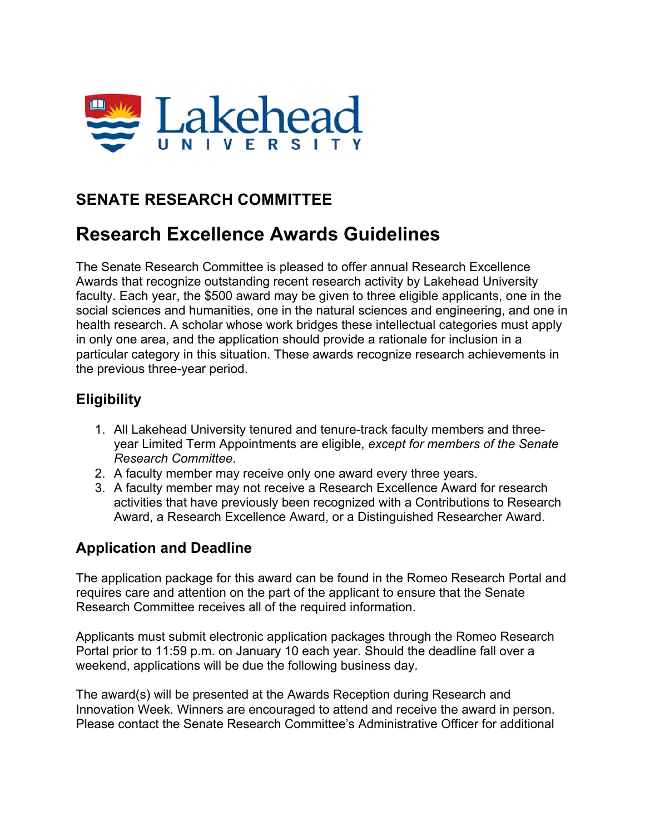

## **SENATE RESEARCH COMMITTEE**

# **Research Excellence Awards Guidelines**

The Senate Research Committee is pleased to offer annual Research Excellence Awards that recognize outstanding recent research activity by Lakehead University faculty. Each year, the \$500 award may be given to three eligible applicants, one in the social sciences and humanities, one in the natural sciences and engineering, and one in health research. A scholar whose work bridges these intellectual categories must apply in only one area, and the application should provide a rationale for inclusion in a particular category in this situation. These awards recognize research achievements in the previous three-year period.

## **Eligibility**

- 1. All Lakehead University tenured and tenure-track faculty members and threeyear Limited Term Appointments are eligible, *except for members of the Senate Research Committee*.
- 2. A faculty member may receive only one award every three years.
- 3. A faculty member may not receive a Research Excellence Award for research activities that have previously been recognized with a Contributions to Research Award, a Research Excellence Award, or a Distinguished Researcher Award.

### **Application and Deadline**

The application package for this award can be found in the Romeo Research Portal and requires care and attention on the part of the applicant to ensure that the Senate Research Committee receives all of the required information.

Applicants must submit electronic application packages through the Romeo Research Portal prior to 11:59 p.m. on January 10 each year. Should the deadline fall over a weekend, applications will be due the following business day.

The award(s) will be presented at the Awards Reception during Research and Innovation Week. Winners are encouraged to attend and receive the award in person. Please contact the Senate Research Committee's Administrative Officer for additional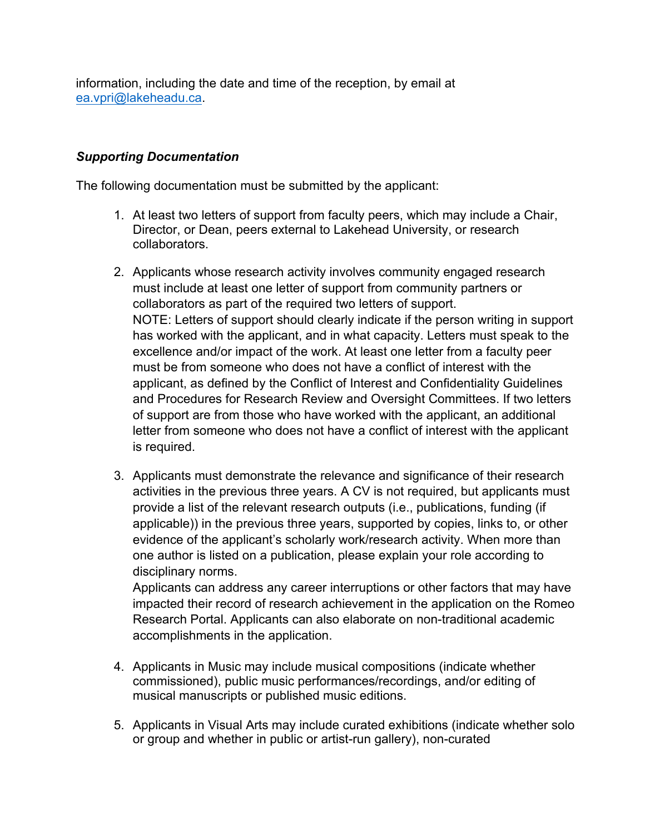information, including the date and time of the reception, by email at ea.vpri@lakeheadu.ca.

#### *Supporting Documentation*

The following documentation must be submitted by the applicant:

- 1. At least two letters of support from faculty peers, which may include a Chair, Director, or Dean, peers external to Lakehead University, or research collaborators.
- 2. Applicants whose research activity involves community engaged research must include at least one letter of support from community partners or collaborators as part of the required two letters of support. NOTE: Letters of support should clearly indicate if the person writing in support has worked with the applicant, and in what capacity. Letters must speak to the excellence and/or impact of the work. At least one letter from a faculty peer must be from someone who does not have a conflict of interest with the applicant, as defined by the Conflict of Interest and Confidentiality Guidelines and Procedures for Research Review and Oversight Committees. If two letters of support are from those who have worked with the applicant, an additional letter from someone who does not have a conflict of interest with the applicant is required.
- 3. Applicants must demonstrate the relevance and significance of their research activities in the previous three years. A CV is not required, but applicants must provide a list of the relevant research outputs (i.e., publications, funding (if applicable)) in the previous three years, supported by copies, links to, or other evidence of the applicant's scholarly work/research activity. When more than one author is listed on a publication, please explain your role according to disciplinary norms.

Applicants can address any career interruptions or other factors that may have impacted their record of research achievement in the application on the Romeo Research Portal. Applicants can also elaborate on non-traditional academic accomplishments in the application.

- 4. Applicants in Music may include musical compositions (indicate whether commissioned), public music performances/recordings, and/or editing of musical manuscripts or published music editions.
- 5. Applicants in Visual Arts may include curated exhibitions (indicate whether solo or group and whether in public or artist-run gallery), non-curated